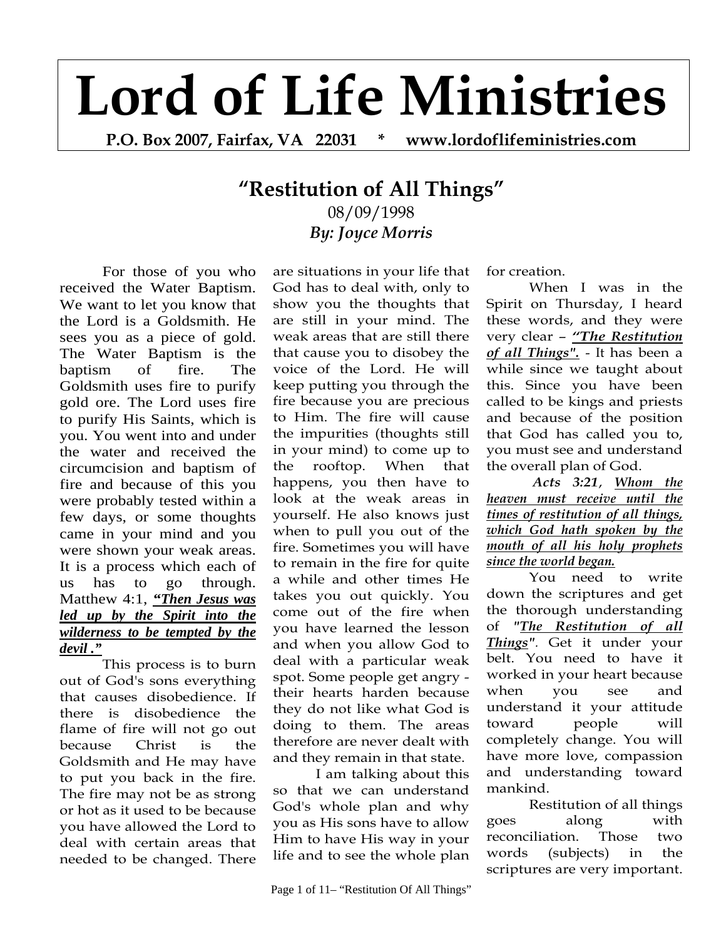# **Lord of Life Ministries**

**P.O. Box 2007, Fairfax, VA 22031 \* www.lordoflifeministries.com** 

# **"Restitution of All Things"** 08/09/1998 *By: Joyce Morris*

For those of you who received the Water Baptism. We want to let you know that the Lord is a Goldsmith. He sees you as a piece of gold. The Water Baptism is the baptism of fire. The Goldsmith uses fire to purify gold ore. The Lord uses fire to purify His Saints, which is you. You went into and under the water and received the circumcision and baptism of fire and because of this you were probably tested within a few days, or some thoughts came in your mind and you were shown your weak areas. It is a process which each of us has to go through. Matthew 4:1, *"Then Jesus was led up by the Spirit into the wilderness to be tempted by the devil ."*

This process is to burn out of God's sons everything that causes disobedience. If there is disobedience the flame of fire will not go out because Christ is the Goldsmith and He may have to put you back in the fire. The fire may not be as strong or hot as it used to be because you have allowed the Lord to deal with certain areas that needed to be changed. There

are situations in your life that God has to deal with, only to show you the thoughts that are still in your mind. The weak areas that are still there that cause you to disobey the voice of the Lord. He will keep putting you through the fire because you are precious to Him. The fire will cause the impurities (thoughts still in your mind) to come up to the rooftop. When that happens, you then have to look at the weak areas in yourself. He also knows just when to pull you out of the fire. Sometimes you will have to remain in the fire for quite a while and other times He takes you out quickly. You come out of the fire when you have learned the lesson and when you allow God to deal with a particular weak spot. Some people get angry their hearts harden because they do not like what God is doing to them. The areas therefore are never dealt with and they remain in that state.

I am talking about this so that we can understand God's whole plan and why you as His sons have to allow Him to have His way in your life and to see the whole plan

for creation.

When I was in the Spirit on Thursday, I heard these words, and they were very clear – *"The Restitution of all Things".* - It has been a while since we taught about this. Since you have been called to be kings and priests and because of the position that God has called you to, you must see and understand the overall plan of God.

*Acts 3:21*, *Whom the heaven must receive until the times of restitution of all things, which God hath spoken by the mouth of all his holy prophets since the world began.* 

You need to write down the scriptures and get the thorough understanding of *"The Restitution of all Things".* Get it under your belt. You need to have it worked in your heart because when you see and understand it your attitude toward people will completely change. You will have more love, compassion and understanding toward mankind.

Restitution of all things goes along with reconciliation. Those two words (subjects) in the scriptures are very important.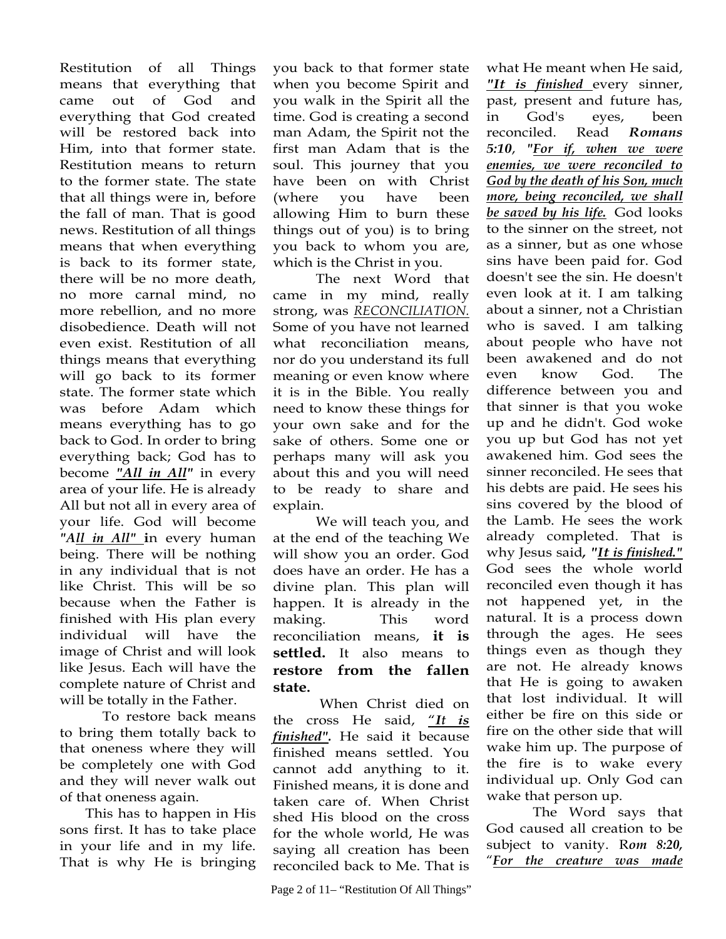Restitution of all Things means that everything that came out of God and everything that God created will be restored back into Him, into that former state. Restitution means to return to the former state. The state that all things were in, before the fall of man. That is good news. Restitution of all things means that when everything is back to its former state, there will be no more death, no more carnal mind, no more rebellion, and no more disobedience. Death will not even exist. Restitution of all things means that everything will go back to its former state. The former state which was before Adam which means everything has to go back to God. In order to bring everything back; God has to become *"All in All"* in every area of your life. He is already All but not all in every area of your life. God will become *"All in All"* **i**n every human being. There will be nothing in any individual that is not like Christ. This will be so because when the Father is finished with His plan every individual will have the image of Christ and will look like Jesus. Each will have the complete nature of Christ and will be totally in the Father.

To restore back means to bring them totally back to that oneness where they will be completely one with God and they will never walk out of that oneness again.

This has to happen in His sons first. It has to take place in your life and in my life. That is why He is bringing you back to that former state when you become Spirit and you walk in the Spirit all the time. God is creating a second man Adam, the Spirit not the first man Adam that is the soul. This journey that you have been on with Christ (where you have been allowing Him to burn these things out of you) is to bring you back to whom you are, which is the Christ in you.

The next Word that came in my mind, really strong, was *RECONCILIATION.*  Some of you have not learned what reconciliation means, nor do you understand its full meaning or even know where it is in the Bible. You really need to know these things for your own sake and for the sake of others. Some one or perhaps many will ask you about this and you will need to be ready to share and explain.

We will teach you, and at the end of the teaching We will show you an order. God does have an order. He has a divine plan. This plan will happen. It is already in the making. This word reconciliation means, **it is settled.** It also means to **restore from the fallen state.**

 When Christ died on the cross He said, "*It is finished".* He said it because finished means settled. You cannot add anything to it. Finished means, it is done and taken care of. When Christ shed His blood on the cross for the whole world, He was saying all creation has been reconciled back to Me. That is

what He meant when He said, *"It is finished* every sinner, past, present and future has, in God's eyes, been reconciled. Read *Romans 5:10*, *"For if, when we were enemies, we were reconciled to God by the death of his Son, much more, being reconciled, we shall be saved by his life.* God looks to the sinner on the street, not as a sinner, but as one whose sins have been paid for. God doesn't see the sin. He doesn't even look at it. I am talking about a sinner, not a Christian who is saved. I am talking about people who have not been awakened and do not even know God. The difference between you and that sinner is that you woke up and he didn't. God woke you up but God has not yet awakened him. God sees the sinner reconciled. He sees that his debts are paid. He sees his sins covered by the blood of the Lamb. He sees the work already completed. That is why Jesus said*, "It is finished."* God sees the whole world reconciled even though it has not happened yet, in the natural. It is a process down through the ages. He sees things even as though they are not. He already knows that He is going to awaken that lost individual. It will either be fire on this side or fire on the other side that will wake him up. The purpose of the fire is to wake every individual up. Only God can wake that person up.

 The Word says that God caused all creation to be subject to vanity. R*om 8:20,*  "*For the creature was made*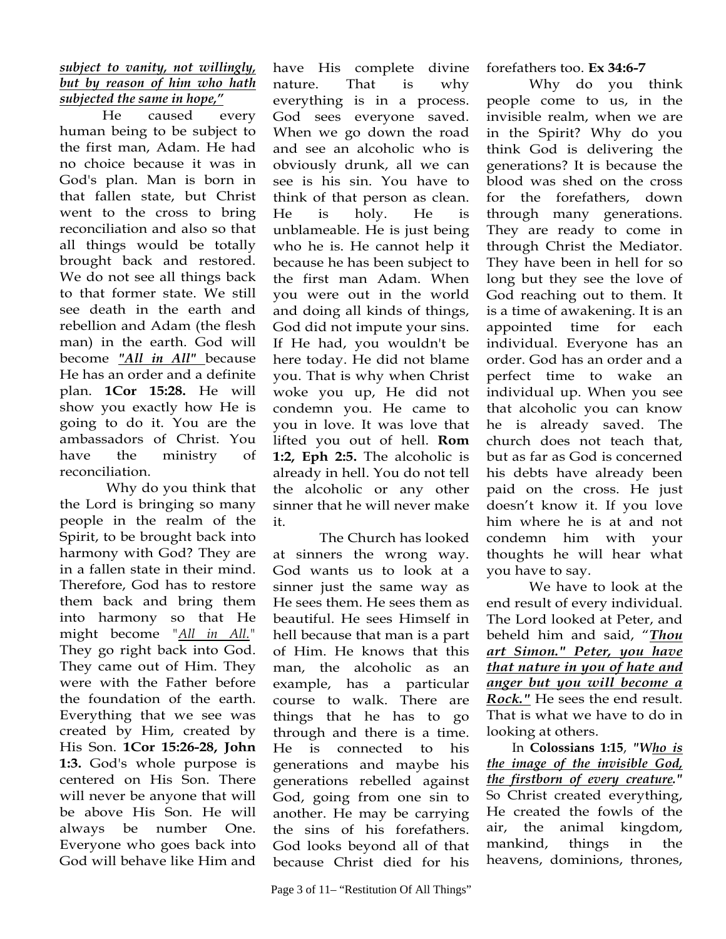### *subject to vanity, not willingly, but by reason of him who hath subjected the same in hope,"*

He caused every human being to be subject to the first man, Adam. He had no choice because it was in God's plan. Man is born in that fallen state, but Christ went to the cross to bring reconciliation and also so that all things would be totally brought back and restored. We do not see all things back to that former state. We still see death in the earth and rebellion and Adam (the flesh man) in the earth. God will become *"All in All"* because He has an order and a definite plan. **1Cor 15:28.** He will show you exactly how He is going to do it. You are the ambassadors of Christ. You have the ministry of reconciliation.

 Why do you think that the Lord is bringing so many people in the realm of the Spirit, to be brought back into harmony with God? They are in a fallen state in their mind. Therefore, God has to restore them back and bring them into harmony so that He might become *"All in All."*  They go right back into God. They came out of Him. They were with the Father before the foundation of the earth. Everything that we see was created by Him, created by His Son. **1Cor 15:26-28, John 1:3.** God's whole purpose is centered on His Son. There will never be anyone that will be above His Son. He will always be number One. Everyone who goes back into God will behave like Him and

have His complete divine nature. That is why everything is in a process. God sees everyone saved. When we go down the road and see an alcoholic who is obviously drunk, all we can see is his sin. You have to think of that person as clean. He is holy. He is unblameable. He is just being who he is. He cannot help it because he has been subject to the first man Adam. When you were out in the world and doing all kinds of things, God did not impute your sins. If He had, you wouldn't be here today. He did not blame you. That is why when Christ woke you up, He did not condemn you. He came to you in love. It was love that lifted you out of hell. **Rom 1:2, Eph 2:5.** The alcoholic is already in hell. You do not tell the alcoholic or any other sinner that he will never make it.

 The Church has looked at sinners the wrong way. God wants us to look at a sinner just the same way as He sees them. He sees them as beautiful. He sees Himself in hell because that man is a part of Him. He knows that this man, the alcoholic as an example, has a particular course to walk. There are things that he has to go through and there is a time. He is connected to his generations and maybe his generations rebelled against God, going from one sin to another. He may be carrying the sins of his forefathers. God looks beyond all of that because Christ died for his

Why do you think people come to us, in the invisible realm, when we are in the Spirit? Why do you think God is delivering the generations? It is because the blood was shed on the cross for the forefathers, down through many generations. They are ready to come in through Christ the Mediator. They have been in hell for so long but they see the love of God reaching out to them. It is a time of awakening. It is an appointed time for each individual. Everyone has an order. God has an order and a perfect time to wake an individual up. When you see that alcoholic you can know he is already saved. The church does not teach that, but as far as God is concerned his debts have already been paid on the cross. He just doesn't know it. If you love him where he is at and not condemn him with your thoughts he will hear what you have to say.

We have to look at the end result of every individual. The Lord looked at Peter, and beheld him and said, "*Thou art Simon." Peter, you have that nature in you of hate and anger but you will become a Rock."* He sees the end result. That is what we have to do in looking at others.

In **Colossians 1:15**, *"Who is the image of the invisible God, the firstborn of every creature."* So Christ created everything, He created the fowls of the air, the animal kingdom, mankind, things in the heavens, dominions, thrones,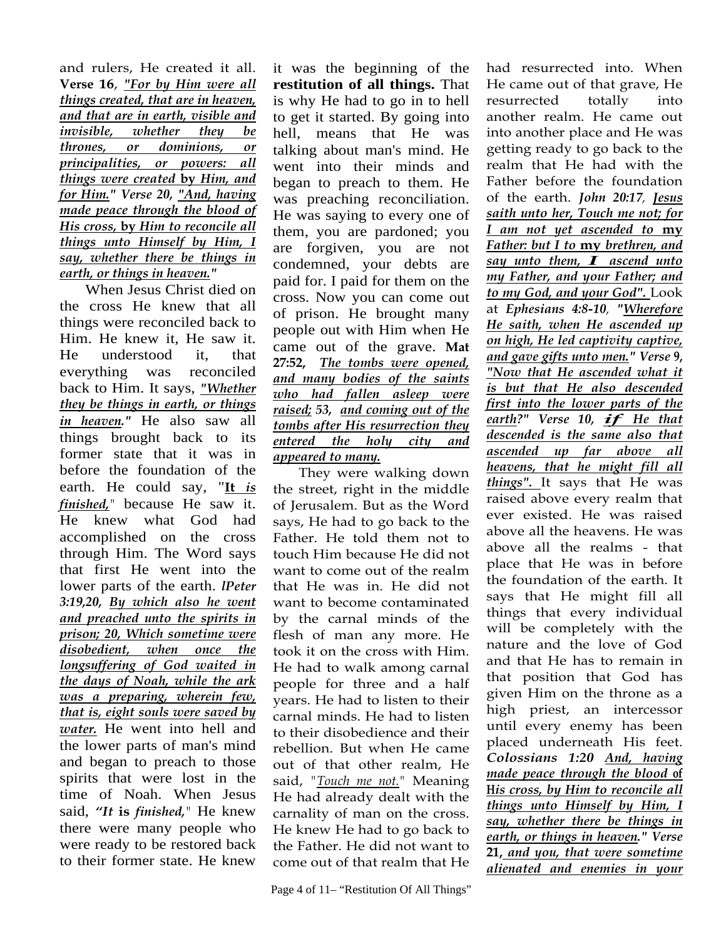and rulers, He created it all. **Verse 16**, *"For by Him were all things created, that are in heaven, and that are in earth, visible and invisible, whether they be thrones, or dominions, or principalities, or powers: all things were created* **by** *Him, and for Him." Verse 20, "And, having made peace through the blood of His cross,* **by** *Him to reconcile all things unto Himself by Him, I say, whether there be things in earth, or things in heaven."* 

When Jesus Christ died on the cross He knew that all things were reconciled back to Him. He knew it, He saw it. He understood it, that everything was reconciled back to Him. It says, *"Whether they be things in earth, or things in heaven."* He also saw all things brought back to its former state that it was in before the foundation of the earth. He could say, "**It** *is finished,"* because He saw it. He knew what God had accomplished on the cross through Him. The Word says that first He went into the lower parts of the earth. *lPeter 3:19,20, By which also he went and preached unto the spirits in prison; 20, Which sometime were disobedient, when once the longsuffering of God waited in the days of Noah, while the ark was a preparing, wherein few, that is, eight souls were saved by water.* He went into hell and the lower parts of man's mind and began to preach to those spirits that were lost in the time of Noah. When Jesus said, *"It* **is** *finished,"* He knew there were many people who were ready to be restored back to their former state. He knew

it was the beginning of the **restitution of all things.** That is why He had to go in to hell to get it started. By going into hell, means that He was talking about man's mind. He went into their minds and began to preach to them. He was preaching reconciliation. He was saying to every one of them, you are pardoned; you are forgiven, you are not condemned, your debts are paid for. I paid for them on the cross. Now you can come out of prison. He brought many people out with Him when He came out of the grave. **Mat 27:52,** *The tombs were opened, and many bodies of the saints who had fallen asleep were raised; 53, and coming out of the tombs after His resurrection they entered the holy city and appeared to many.* 

They were walking down the street, right in the middle of Jerusalem. But as the Word says, He had to go back to the Father. He told them not to touch Him because He did not want to come out of the realm that He was in. He did not want to become contaminated by the carnal minds of the flesh of man any more. He took it on the cross with Him. He had to walk among carnal people for three and a half years. He had to listen to their carnal minds. He had to listen to their disobedience and their rebellion. But when He came out of that other realm, He said, *"Touch me not."* Meaning He had already dealt with the carnality of man on the cross. He knew He had to go back to the Father. He did not want to come out of that realm that He had resurrected into. When He came out of that grave, He resurrected totally into another realm. He came out into another place and He was getting ready to go back to the realm that He had with the Father before the foundation of the earth. *John 20:17, Jesus saith unto her, Touch me not; for I am not yet ascended to* **my**  *Father: but I to* **my** *brethren, and say unto them, I ascend unto my Father, and your Father; and to my God, and your God".* Look at *Ephesians 4:8-10, "Wherefore He saith, when He ascended up on high, He led captivity captive, and gave gifts unto men." Verse* **9,** *"Now that He ascended what it is but that He also descended first into the lower parts of the earth?" Verse 10, if He that descended is the same also that ascended up far above all heavens, that he might fill all things".* It says that He was raised above every realm that ever existed. He was raised above all the heavens. He was above all the realms - that place that He was in before the foundation of the earth. It says that He might fill all things that every individual will be completely with the nature and the love of God and that He has to remain in that position that God has given Him on the throne as a high priest, an intercessor until every enemy has been placed underneath His feet. *Colossians 1:20 And, having made peace through the blood* **of H***is cross, by Him to reconcile all things unto Himself by Him, I say, whether there be things in earth, or things in heaven." Verse*  **21,** *and you, that were sometime alienated and enemies in your*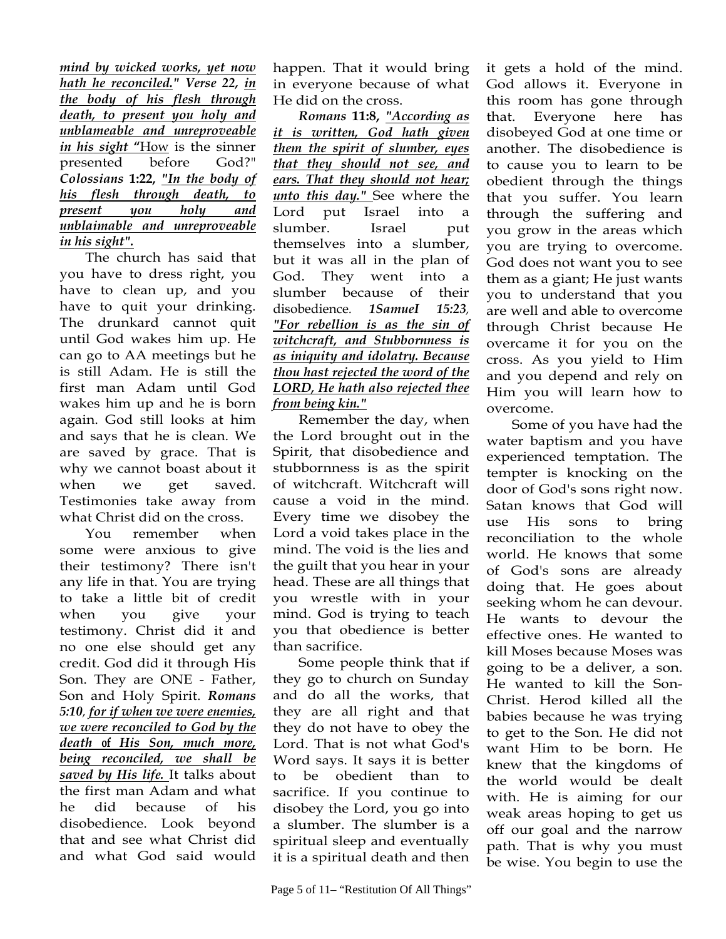*mind by wicked works, yet now hath he reconciled." Verse 22, in the body of his flesh through death, to present you holy and unblameable and unreproveable in his sight* **"**How is the sinner presented before God?" *Colossians* **1:22,** *"In the body of his flesh through death, to present you holy and unblaimable and unreproveable in his sight".* 

The church has said that you have to dress right, you have to clean up, and you have to quit your drinking. The drunkard cannot quit until God wakes him up. He can go to AA meetings but he is still Adam. He is still the first man Adam until God wakes him up and he is born again. God still looks at him and says that he is clean. We are saved by grace. That is why we cannot boast about it when we get saved. Testimonies take away from what Christ did on the cross.

You remember when some were anxious to give their testimony? There isn't any life in that. You are trying to take a little bit of credit when you give your testimony. Christ did it and no one else should get any credit. God did it through His Son. They are ONE - Father, Son and Holy Spirit. *Romans 5:10, for if when we were enemies, we were reconciled to God by the death* **of** *His Son, much more, being reconciled, we shall be saved by His life.* It talks about the first man Adam and what he did because of his disobedience. Look beyond that and see what Christ did and what God said would

happen. That it would bring in everyone because of what He did on the cross.

*Romans* **11:8,** *"According as it is written, God hath given them the spirit of slumber, eyes that they should not see, and ears. That they should not hear; unto this day."* See where the Lord put Israel into slumber. Israel put themselves into a slumber, but it was all in the plan of God. They went into a slumber because of their disobedience*. 1SamueI 15:23, "For rebellion is as the sin of witchcraft, and Stubbornness is as iniquity and idolatry. Because thou hast rejected the word of the LORD, He hath also rejected thee from being kin."* 

Remember the day, when the Lord brought out in the Spirit, that disobedience and stubbornness is as the spirit of witchcraft. Witchcraft will cause a void in the mind. Every time we disobey the Lord a void takes place in the mind. The void is the lies and the guilt that you hear in your head. These are all things that you wrestle with in your mind. God is trying to teach you that obedience is better than sacrifice.

Some people think that if they go to church on Sunday and do all the works, that they are all right and that they do not have to obey the Lord. That is not what God's Word says. It says it is better to be obedient than to sacrifice. If you continue to disobey the Lord, you go into a slumber. The slumber is a spiritual sleep and eventually it is a spiritual death and then

it gets a hold of the mind. God allows it. Everyone in this room has gone through that. Everyone here has disobeyed God at one time or another. The disobedience is to cause you to learn to be obedient through the things that you suffer. You learn through the suffering and you grow in the areas which you are trying to overcome. God does not want you to see them as a giant; He just wants you to understand that you are well and able to overcome through Christ because He overcame it for you on the cross. As you yield to Him and you depend and rely on Him you will learn how to overcome.

Some of you have had the water baptism and you have experienced temptation. The tempter is knocking on the door of God's sons right now. Satan knows that God will use His sons to bring reconciliation to the whole world. He knows that some of God's sons are already doing that. He goes about seeking whom he can devour. He wants to devour the effective ones. He wanted to kill Moses because Moses was going to be a deliver, a son. He wanted to kill the Son-Christ. Herod killed all the babies because he was trying to get to the Son. He did not want Him to be born. He knew that the kingdoms of the world would be dealt with. He is aiming for our weak areas hoping to get us off our goal and the narrow path. That is why you must be wise. You begin to use the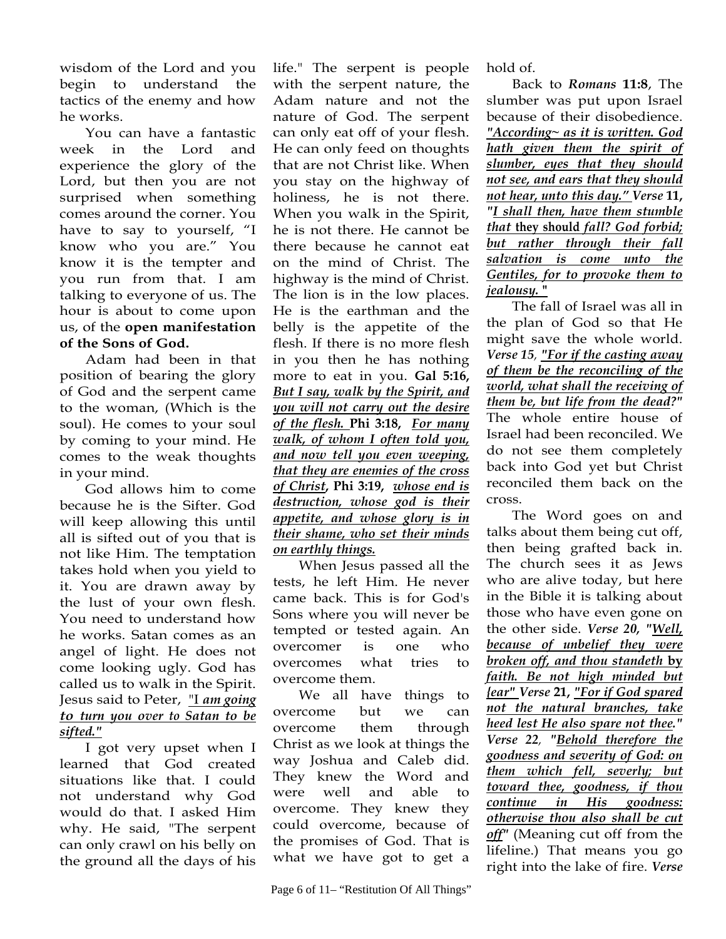wisdom of the Lord and you begin to understand the tactics of the enemy and how he works.

You can have a fantastic week in the Lord and experience the glory of the Lord, but then you are not surprised when something comes around the corner. You have to say to yourself, "I know who you are." You know it is the tempter and you run from that. I am talking to everyone of us. The hour is about to come upon us, of the **open manifestation of the Sons of God.**

Adam had been in that position of bearing the glory of God and the serpent came to the woman, (Which is the soul). He comes to your soul by coming to your mind. He comes to the weak thoughts in your mind.

God allows him to come because he is the Sifter. God will keep allowing this until all is sifted out of you that is not like Him. The temptation takes hold when you yield to it. You are drawn away by the lust of your own flesh. You need to understand how he works. Satan comes as an angel of light. He does not come looking ugly. God has called us to walk in the Spirit. Jesus said to Peter, "I *am going to turn you over to Satan to be sifted."* 

I got very upset when I learned that God created situations like that. I could not understand why God would do that. I asked Him why. He said, "The serpent can only crawl on his belly on the ground all the days of his

life." The serpent is people with the serpent nature, the Adam nature and not the nature of God. The serpent can only eat off of your flesh. He can only feed on thoughts that are not Christ like. When you stay on the highway of holiness, he is not there. When you walk in the Spirit, he is not there. He cannot be there because he cannot eat on the mind of Christ. The highway is the mind of Christ. The lion is in the low places. He is the earthman and the belly is the appetite of the flesh. If there is no more flesh in you then he has nothing more to eat in you. **Gal 5:16,** *But I say, walk by the Spirit, and you will not carry out the desire of the flesh.* **Phi 3:18,** *For many walk, of whom I often told you, and now tell you even weeping, that they are enemies of the cross of Christ***, Phi 3:19,** *whose end is destruction, whose god is their appetite, and whose glory is in their shame, who set their minds on earthly things.* 

When Jesus passed all the tests, he left Him. He never came back. This is for God's Sons where you will never be tempted or tested again. An overcomer is one who overcomes what tries to overcome them.

We all have things to overcome but we can overcome them through Christ as we look at things the way Joshua and Caleb did. They knew the Word and were well and able to overcome. They knew they could overcome, because of the promises of God. That is what we have got to get a

hold of.

Back to *Romans* **11:8**, The slumber was put upon Israel because of their disobedience. *"According~ as it is written. God hath given them the spirit of slumber, eyes that they should not see, and ears that they should not hear, unto this day." Verse* **11,**  *"I shall then, have them stumble that* **they should** *fall? God forbid; but rather through their fall salvation is come unto the Gentiles, for to provoke them to jealousy.* **"** 

The fall of Israel was all in the plan of God so that He might save the whole world. *Verse 15, "For if the casting away of them be the reconciling of the world, what shall the receiving of them be, but life from the dead?"* The whole entire house of Israel had been reconciled. We do not see them completely back into God yet but Christ reconciled them back on the cross.

The Word goes on and talks about them being cut off, then being grafted back in. The church sees it as Jews who are alive today, but here in the Bible it is talking about those who have even gone on the other side. *Verse 20, "Well, because of unbelief they were broken off, and thou standeth* **by**  *faith. Be not high minded but {ear" Verse* **21,** *"For if God spared not the natural branches, take heed lest He also spare not thee." Verse 22, "Behold therefore the goodness and severity of God: on them which fell, severly; but toward thee, goodness, if thou continue in His goodness: otherwise thou also shall be cut off"* (Meaning cut off from the lifeline.) That means you go right into the lake of fire. *Verse*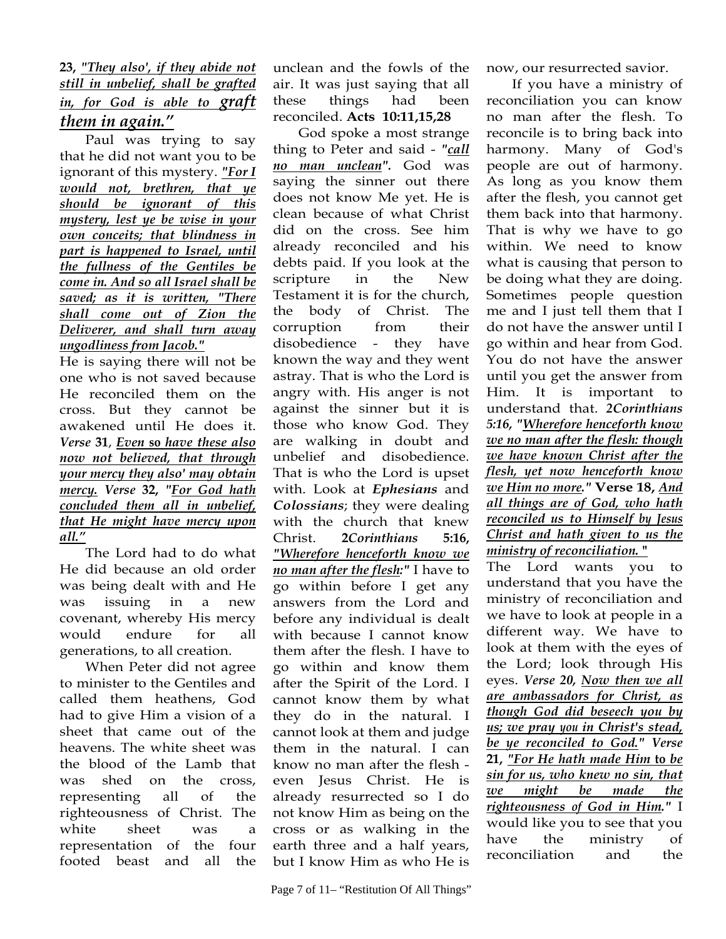# **23,** *"They also', if they abide not still in unbelief, shall be grafted in, for God is able to graft them in again."*

Paul was trying to say that he did not want you to be ignorant of this mystery. *"For I would not, brethren, that ye should be ignorant of this mystery, lest ye be wise in your own conceits; that blindness in part is happened to Israel, until the fullness of the Gentiles be come in. And so all Israel shall be saved; as it is written, "There shall come out of Zion the Deliverer, and shall turn away ungodliness from Jacob."* 

He is saying there will not be one who is not saved because He reconciled them on the cross. But they cannot be awakened until He does it. *Verse* **31**, *Even* **so** *have these also now not believed, that through your mercy they also' may obtain mercy. Verse* **32,** *"For God hath concluded them all in unbelief, that He might have mercy upon all."*

The Lord had to do what He did because an old order was being dealt with and He was issuing in a new covenant, whereby His mercy would endure for all generations, to all creation.

When Peter did not agree to minister to the Gentiles and called them heathens, God had to give Him a vision of a sheet that came out of the heavens. The white sheet was the blood of the Lamb that was shed on the cross, representing all of the righteousness of Christ. The white sheet was a representation of the four footed beast and all the

God spoke a most strange thing to Peter and said - *"call no man unclean".* God was saying the sinner out there does not know Me yet. He is clean because of what Christ did on the cross. See him already reconciled and his debts paid. If you look at the scripture in the New Testament it is for the church, the body of Christ. The corruption from their disobedience - they have known the way and they went astray. That is who the Lord is angry with. His anger is not against the sinner but it is those who know God. They are walking in doubt and unbelief and disobedience. That is who the Lord is upset with. Look at *Ephesians* and *Colossians*; they were dealing with the church that knew Christ. **2***Corinthians* **5:16,**  *"Wherefore henceforth know we no man after the flesh:"* I have to go within before I get any answers from the Lord and before any individual is dealt with because I cannot know them after the flesh. I have to go within and know them after the Spirit of the Lord. I cannot know them by what they do in the natural. I cannot look at them and judge them in the natural. I can know no man after the flesh even Jesus Christ. He is already resurrected so I do not know Him as being on the cross or as walking in the earth three and a half years, but I know Him as who He is

now, our resurrected savior.

If you have a ministry of reconciliation you can know no man after the flesh. To reconcile is to bring back into harmony. Many of God's people are out of harmony. As long as you know them after the flesh, you cannot get them back into that harmony. That is why we have to go within. We need to know what is causing that person to be doing what they are doing. Sometimes people question me and I just tell them that I do not have the answer until I go within and hear from God. You do not have the answer until you get the answer from Him. It is important to understand that. *2Corinthians 5:16, "Wherefore henceforth know we no man after the flesh: though we have known Christ after the flesh, yet now henceforth know we Him no more."* **Verse 18,** *And all things are of God, who hath reconciled us to Himself by Jesus Christ and hath given to us the ministry of reconciliation.* **"** 

The Lord wants you to understand that you have the ministry of reconciliation and we have to look at people in a different way. We have to look at them with the eyes of the Lord; look through His eyes. *Verse 20, Now then we all are ambassadors for Christ, as though God did beseech you by us; we pray you in Christ's stead, be ye reconciled to God." Verse*  **21,** *"For He hath made Him* **to** *be sin for us, who knew no sin, that we might be made the righteousness of God in Him."* I would like you to see that you have the ministry of reconciliation and the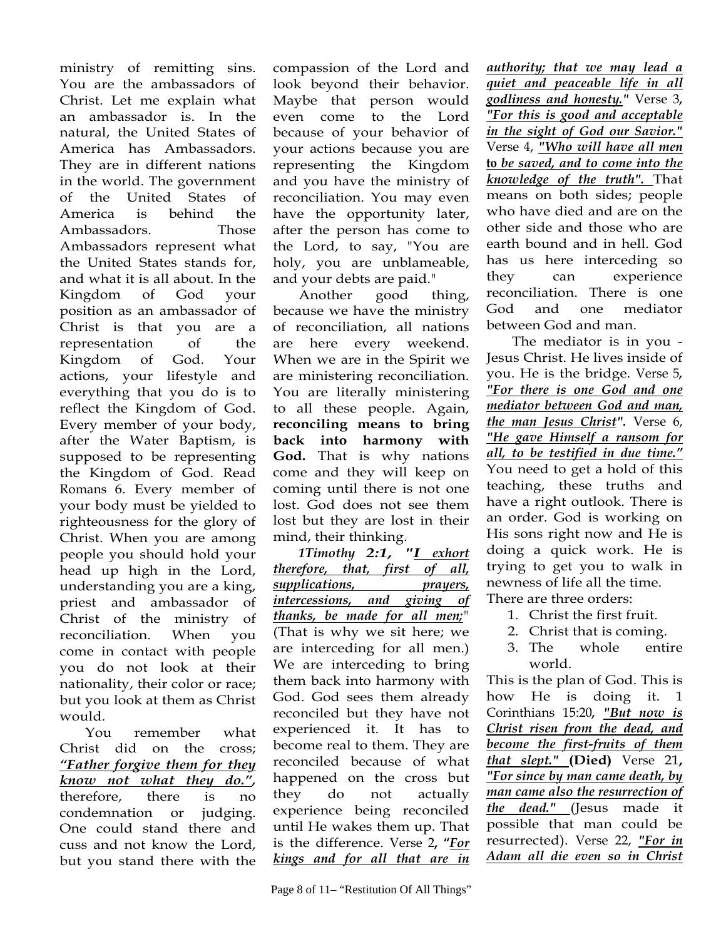ministry of remitting sins. You are the ambassadors of Christ. Let me explain what an ambassador is. In the natural, the United States of America has Ambassadors. They are in different nations in the world. The government of the United States of America is behind the Ambassadors. Those Ambassadors represent what the United States stands for, and what it is all about. In the Kingdom of God your position as an ambassador of Christ is that you are a representation of the Kingdom of God. Your actions, your lifestyle and everything that you do is to reflect the Kingdom of God. Every member of your body, after the Water Baptism, is supposed to be representing the Kingdom of God. Read Romans 6. Every member of your body must be yielded to righteousness for the glory of Christ. When you are among people you should hold your head up high in the Lord, understanding you are a king, priest and ambassador of Christ of the ministry of reconciliation. When you come in contact with people you do not look at their nationality, their color or race; but you look at them as Christ would.

You remember what Christ did on the cross; *"Father forgive them for they know not what they do.",*  therefore, there is no condemnation or judging. One could stand there and cuss and not know the Lord, but you stand there with the

compassion of the Lord and look beyond their behavior. Maybe that person would even come to the Lord because of your behavior of your actions because you are representing the Kingdom and you have the ministry of reconciliation. You may even have the opportunity later, after the person has come to the Lord, to say, "You are holy, you are unblameable, and your debts are paid."

Another good thing, because we have the ministry of reconciliation, all nations are here every weekend. When we are in the Spirit we are ministering reconciliation. You are literally ministering to all these people. Again, **reconciling means to bring back into harmony with God.** That is why nations come and they will keep on coming until there is not one lost. God does not see them lost but they are lost in their mind, their thinking.

*1Timothy 2:1, "I exhort therefore, that, first of all, supplications, prayers, intercessions, and giving of thanks, be made for all men;"*  (That is why we sit here; we are interceding for all men.) We are interceding to bring them back into harmony with God. God sees them already reconciled but they have not experienced it. It has to become real to them. They are reconciled because of what happened on the cross but they do not actually experience being reconciled until He wakes them up. That is the difference. Verse 2**, "***For kings and for all that are in*  *authority; that we may lead a quiet and peaceable life in all godliness and honesty."* Verse 3*, "For this is good and acceptable in the sight of God our Savior."*  Verse 4, *"Who will have all men*  **to** *be saved, and to come into the knowledge of the truth".* That means on both sides; people who have died and are on the other side and those who are earth bound and in hell. God has us here interceding so they can experience reconciliation. There is one God and one mediator between God and man.

The mediator is in you - Jesus Christ. He lives inside of you. He is the bridge. Verse 5*, "For there is one God and one mediator between God and man, the man Jesus Christ".* Verse 6, *"He gave Himself a ransom for all, to be testified in due time."* You need to get a hold of this teaching, these truths and have a right outlook. There is an order. God is working on His sons right now and He is doing a quick work. He is trying to get you to walk in newness of life all the time. There are three orders:

- 1. Christ the first fruit.
- 2. Christ that is coming.
- 3. The whole entire world.

This is the plan of God. This is how He is doing it. 1 Corinthians 15:20*, "But now is Christ risen from the dead, and become the first-fruits of them that slept."* **(Died)** Verse 21**,**  *"For since by man came death, by man came also the resurrection of the dead."* (Jesus made it possible that man could be resurrected). Verse 22, *"For in Adam all die even so in Christ*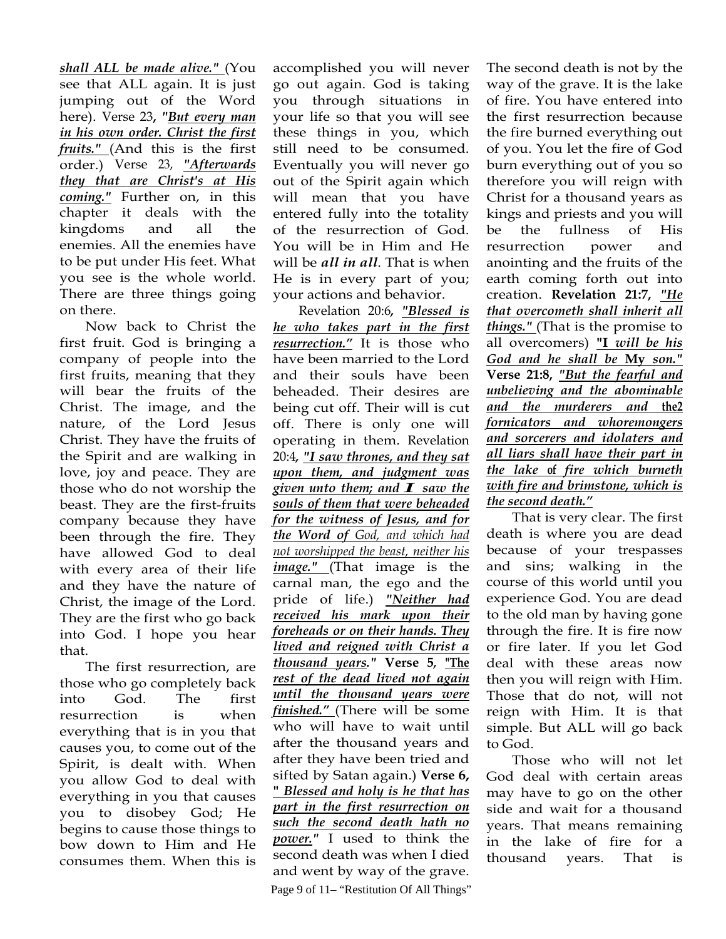*shall ALL be made alive."* (You see that ALL again. It is just jumping out of the Word here). Verse 23**,** *"But every man in his own order. Christ the first fruits."* (And this is the first order.) Verse 23, *"Afterwards they that are Christ's at His coming."* Further on, in this chapter it deals with the kingdoms and all the enemies. All the enemies have to be put under His feet. What you see is the whole world. There are three things going on there.

Now back to Christ the first fruit. God is bringing a company of people into the first fruits, meaning that they will bear the fruits of the Christ. The image, and the nature, of the Lord Jesus Christ. They have the fruits of the Spirit and are walking in love, joy and peace. They are those who do not worship the beast. They are the first-fruits company because they have been through the fire. They have allowed God to deal with every area of their life and they have the nature of Christ, the image of the Lord. They are the first who go back into God. I hope you hear that.

The first resurrection, are those who go completely back into God. The first resurrection is when everything that is in you that causes you, to come out of the Spirit, is dealt with. When you allow God to deal with everything in you that causes you to disobey God; He begins to cause those things to bow down to Him and He consumes them. When this is

accomplished you will never go out again. God is taking you through situations in your life so that you will see these things in you, which still need to be consumed. Eventually you will never go out of the Spirit again which will mean that you have entered fully into the totality of the resurrection of God. You will be in Him and He will be *all in all*. That is when He is in every part of you; your actions and behavior.

Page 9 of 11– "Restitution Of All Things" Revelation 20:6*, "Blessed is he who takes part in the first resurrection."* It is those who have been married to the Lord and their souls have been beheaded. Their desires are being cut off. Their will is cut off. There is only one will operating in them. Revelation 20:4*, "I saw thrones, and they sat upon them, and judgment was given unto them; and I saw the souls of them that were beheaded for the witness of Jesus, and for the Word of God, and which had not worshipped the beast, neither his image."* (That image is the carnal man, the ego and the pride of life.) *"Neither had received his mark upon their foreheads or on their hands. They lived and reigned with Christ a thousand years."* **Verse 5***,* **"The**  *rest of the dead lived not again until the thousand years were finished."* (There will be some who will have to wait until after the thousand years and after they have been tried and sifted by Satan again.) **Verse 6, "** *Blessed and holy is he that has part in the first resurrection on such the second death hath no power."* I used to think the second death was when I died and went by way of the grave.

The second death is not by the way of the grave. It is the lake of fire. You have entered into the first resurrection because the fire burned everything out of you. You let the fire of God burn everything out of you so therefore you will reign with Christ for a thousand years as kings and priests and you will be the fullness of His resurrection power and anointing and the fruits of the earth coming forth out into creation. **Revelation 21:7,** *"He that overcometh shall inherit all things."* (That is the promise to all overcomers) **"I** *will be his God and he shall be* **My** *son."*  **Verse 21:8,** *"But the fearful and unbelieving and the abominable and the murderers and* **the2** *fornicators and whoremongers and sorcerers and idolaters and all liars shall have their part in the lake* **of** *fire which burneth with fire and brimstone, which is the second death."*

That is very clear. The first death is where you are dead because of your trespasses and sins; walking in the course of this world until you experience God. You are dead to the old man by having gone through the fire. It is fire now or fire later. If you let God deal with these areas now then you will reign with Him. Those that do not, will not reign with Him. It is that simple. But ALL will go back to God.

Those who will not let God deal with certain areas may have to go on the other side and wait for a thousand years. That means remaining in the lake of fire for a thousand years. That is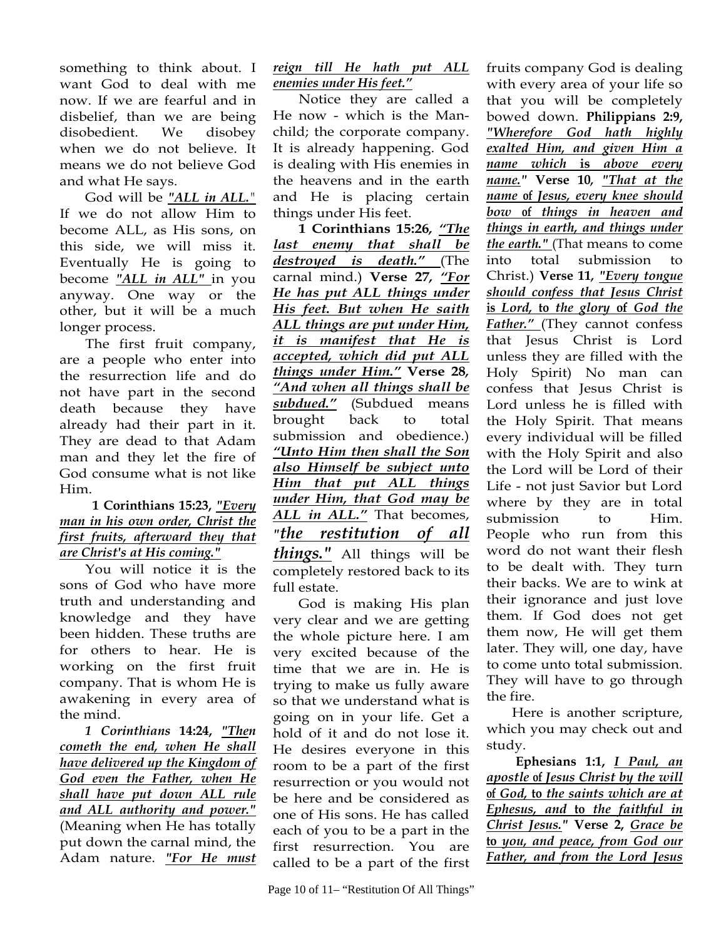something to think about. I want God to deal with me now. If we are fearful and in disbelief, than we are being disobedient. We disobey when we do not believe. It means we do not believe God and what He says.

God will be *"ALL in ALL."*  If we do not allow Him to become ALL, as His sons, on this side, we will miss it. Eventually He is going to become *"ALL in ALL"* in you anyway. One way or the other, but it will be a much longer process.

The first fruit company, are a people who enter into the resurrection life and do not have part in the second death because they have already had their part in it. They are dead to that Adam man and they let the fire of God consume what is not like Him.

## **1 Corinthians 15:23,** *"Every man in his own order, Christ the first fruits, afterward they that are Christ's at His coming."*

You will notice it is the sons of God who have more truth and understanding and knowledge and they have been hidden. These truths are for others to hear. He is working on the first fruit company. That is whom He is awakening in every area of the mind.

*1 Corinthians* **14:24,** *"Then cometh the end, when He shall have delivered up the Kingdom of God even the Father, when He shall have put down ALL rule and ALL authority and power."* (Meaning when He has totally put down the carnal mind, the Adam nature. *"For He must* 

## *reign till He hath put ALL enemies under His feet."*

Notice they are called a He now - which is the Manchild; the corporate company. It is already happening. God is dealing with His enemies in the heavens and in the earth and He is placing certain things under His feet.

**1 Corinthians 15:26***, "The last enemy that shall be destroyed is death."* (The carnal mind.) **Verse 27***, "For He has put ALL things under His feet. But when He saith ALL things are put under Him, it is manifest that He is accepted, which did put ALL things under Him."* **Verse 28***, "And when all things shall be subdued."* (Subdued means brought back to total submission and obedience.) *"Unto Him then shall the Son also Himself be subject unto Him that put ALL things under Him, that God may be ALL in ALL."* That becomes, *"the restitution of all things."* All things will be completely restored back to its full estate.

God is making His plan very clear and we are getting the whole picture here. I am very excited because of the time that we are in. He is trying to make us fully aware so that we understand what is going on in your life. Get a hold of it and do not lose it. He desires everyone in this room to be a part of the first resurrection or you would not be here and be considered as one of His sons. He has called each of you to be a part in the first resurrection. You are called to be a part of the first

fruits company God is dealing with every area of your life so that you will be completely bowed down. **Philippians 2:9,**  *"Wherefore God hath highly exalted Him, and given Him a name which* **is** *above every name."* **Verse 10***, "That at the name* **of** *Jesus, every knee should bow* **of** *things in heaven and things in earth, and things under the earth."* (That means to come into total submission to Christ.) **Verse 11***, "Every tongue should confess that Jesus Christ*  **is** *Lord,* **to** *the glory* **of** *God the Father."* (They cannot confess that Jesus Christ is Lord unless they are filled with the Holy Spirit) No man can confess that Jesus Christ is Lord unless he is filled with the Holy Spirit. That means every individual will be filled with the Holy Spirit and also the Lord will be Lord of their Life - not just Savior but Lord where by they are in total submission to Him. People who run from this word do not want their flesh to be dealt with. They turn their backs. We are to wink at their ignorance and just love them. If God does not get them now, He will get them later. They will, one day, have to come unto total submission. They will have to go through the fire.

Here is another scripture, which you may check out and study.

**Ephesians 1:1,** *I Paul, an apostle* **of** *Jesus Christ by the will*  **of** *God,* **to** *the saints which are at Ephesus, and* **to** *the faithful in Christ Jesus."* **Verse 2,** *Grace be*  **to** *you, and peace, from God our Father, and from the Lord Jesus*